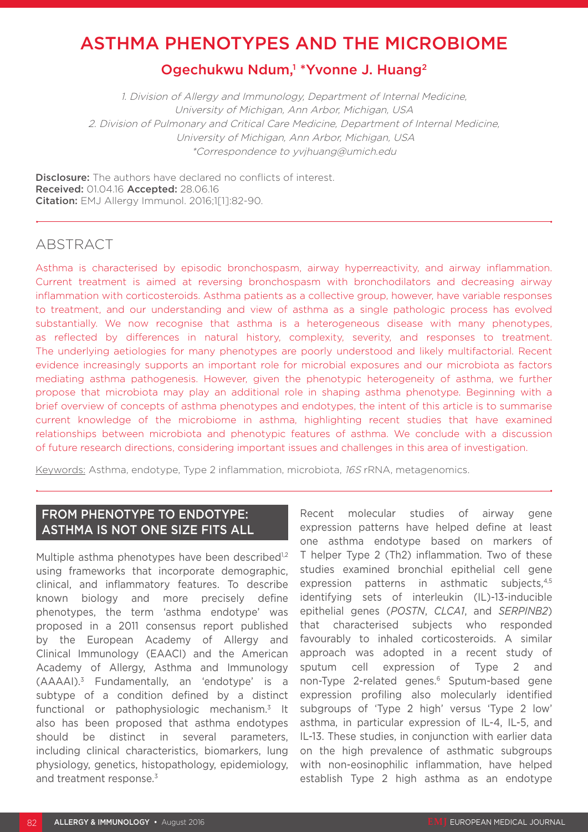# ASTHMA PHENOTYPES AND THE MICROBIOME

# Ogechukwu Ndum,<sup>1</sup> \*Yvonne J. Huang<sup>2</sup>

1. Division of Allergy and Immunology, Department of Internal Medicine, University of Michigan, Ann Arbor, Michigan, USA 2. Division of Pulmonary and Critical Care Medicine, Department of Internal Medicine, University of Michigan, Ann Arbor, Michigan, USA \*Correspondence to yvjhuang@umich.edu

**Disclosure:** The authors have declared no conflicts of interest. Received: 01.04.16 Accepted: 28.06.16 Citation: EMJ Allergy Immunol. 2016;1[1]:82-90.

### ABSTRACT

Asthma is characterised by episodic bronchospasm, airway hyperreactivity, and airway inflammation. Current treatment is aimed at reversing bronchospasm with bronchodilators and decreasing airway inflammation with corticosteroids. Asthma patients as a collective group, however, have variable responses to treatment, and our understanding and view of asthma as a single pathologic process has evolved substantially. We now recognise that asthma is a heterogeneous disease with many phenotypes, as reflected by differences in natural history, complexity, severity, and responses to treatment. The underlying aetiologies for many phenotypes are poorly understood and likely multifactorial. Recent evidence increasingly supports an important role for microbial exposures and our microbiota as factors mediating asthma pathogenesis. However, given the phenotypic heterogeneity of asthma, we further propose that microbiota may play an additional role in shaping asthma phenotype. Beginning with a brief overview of concepts of asthma phenotypes and endotypes, the intent of this article is to summarise current knowledge of the microbiome in asthma, highlighting recent studies that have examined relationships between microbiota and phenotypic features of asthma. We conclude with a discussion of future research directions, considering important issues and challenges in this area of investigation.

Keywords: Asthma, endotype, Type 2 inflammation, microbiota, 16S rRNA, metagenomics.

# FROM PHENOTYPE TO ENDOTYPE: ASTHMA IS NOT ONE SIZE FITS ALL

Multiple asthma phenotypes have been described<sup>1,2</sup> using frameworks that incorporate demographic, clinical, and inflammatory features. To describe known biology and more precisely define phenotypes, the term 'asthma endotype' was proposed in a 2011 consensus report published by the European Academy of Allergy and Clinical Immunology (EAACI) and the American Academy of Allergy, Asthma and Immunology (AAAAI).3 Fundamentally, an 'endotype' is a subtype of a condition defined by a distinct functional or pathophysiologic mechanism.3 It also has been proposed that asthma endotypes should be distinct in several parameters, including clinical characteristics, biomarkers, lung physiology, genetics, histopathology, epidemiology, and treatment response.<sup>3</sup>

Recent molecular studies of airway gene expression patterns have helped define at least one asthma endotype based on markers of T helper Type 2 (Th2) inflammation. Two of these studies examined bronchial epithelial cell gene expression patterns in asthmatic subjects,4,5 identifying sets of interleukin (IL)-13-inducible epithelial genes (*POSTN*, *CLCA1*, and *SERPINB2*) that characterised subjects who responded favourably to inhaled corticosteroids. A similar approach was adopted in a recent study of sputum cell expression of Type 2 and non-Type 2-related genes.<sup>6</sup> Sputum-based gene expression profiling also molecularly identified subgroups of 'Type 2 high' versus 'Type 2 low' asthma, in particular expression of IL-4, IL-5, and IL-13. These studies, in conjunction with earlier data on the high prevalence of asthmatic subgroups with non-eosinophilic inflammation, have helped establish Type 2 high asthma as an endotype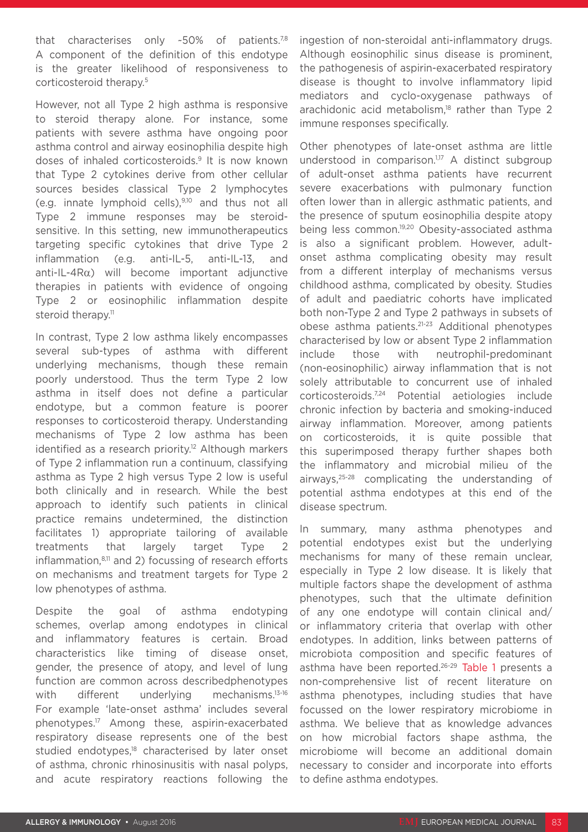that characterises only ~50% of patients.<sup>7,8</sup> A component of the definition of this endotype is the greater likelihood of responsiveness to corticosteroid therapy.5

However, not all Type 2 high asthma is responsive to steroid therapy alone. For instance, some patients with severe asthma have ongoing poor asthma control and airway eosinophilia despite high doses of inhaled corticosteroids.9 It is now known that Type 2 cytokines derive from other cellular sources besides classical Type 2 lymphocytes (e.g. innate lymphoid cells),9,10 and thus not all Type 2 immune responses may be steroidsensitive. In this setting, new immunotherapeutics targeting specific cytokines that drive Type 2 inflammation (e.g. anti-IL-5, anti-IL-13, and anti-IL-4Rα) will become important adjunctive therapies in patients with evidence of ongoing Type 2 or eosinophilic inflammation despite steroid therapy.<sup>11</sup>

In contrast, Type 2 low asthma likely encompasses several sub-types of asthma with different underlying mechanisms, though these remain poorly understood. Thus the term Type 2 low asthma in itself does not define a particular endotype, but a common feature is poorer responses to corticosteroid therapy. Understanding mechanisms of Type 2 low asthma has been identified as a research priority.<sup>12</sup> Although markers of Type 2 inflammation run a continuum, classifying asthma as Type 2 high versus Type 2 low is useful both clinically and in research. While the best approach to identify such patients in clinical practice remains undetermined, the distinction facilitates 1) appropriate tailoring of available treatments that largely target Type 2 inflammation, $8,11$  and 2) focussing of research efforts on mechanisms and treatment targets for Type 2 low phenotypes of asthma.

Despite the goal of asthma endotyping schemes, overlap among endotypes in clinical and inflammatory features is certain. Broad characteristics like timing of disease onset, gender, the presence of atopy, and level of lung function are common across describedphenotypes with different underlying mechanisms.<sup>13-16</sup> For example 'late-onset asthma' includes several phenotypes.17 Among these, aspirin-exacerbated respiratory disease represents one of the best studied endotypes,<sup>18</sup> characterised by later onset of asthma, chronic rhinosinusitis with nasal polyps, and acute respiratory reactions following the

ingestion of non-steroidal anti-inflammatory drugs. Although eosinophilic sinus disease is prominent, the pathogenesis of aspirin-exacerbated respiratory disease is thought to involve inflammatory lipid mediators and cyclo-oxygenase pathways of arachidonic acid metabolism.<sup>18</sup> rather than Type 2 immune responses specifically.

Other phenotypes of late-onset asthma are little understood in comparison.<sup>1,17</sup> A distinct subgroup of adult-onset asthma patients have recurrent severe exacerbations with pulmonary function often lower than in allergic asthmatic patients, and the presence of sputum eosinophilia despite atopy being less common.<sup>19,20</sup> Obesity-associated asthma is also a significant problem. However, adultonset asthma complicating obesity may result from a different interplay of mechanisms versus childhood asthma, complicated by obesity. Studies of adult and paediatric cohorts have implicated both non-Type 2 and Type 2 pathways in subsets of obese asthma patients.21-23 Additional phenotypes characterised by low or absent Type 2 inflammation include those with neutrophil-predominant (non-eosinophilic) airway inflammation that is not solely attributable to concurrent use of inhaled corticosteroids.7,24 Potential aetiologies include chronic infection by bacteria and smoking-induced airway inflammation. Moreover, among patients on corticosteroids, it is quite possible that this superimposed therapy further shapes both the inflammatory and microbial milieu of the airways,25-28 complicating the understanding of potential asthma endotypes at this end of the disease spectrum.

In summary, many asthma phenotypes and potential endotypes exist but the underlying mechanisms for many of these remain unclear, especially in Type 2 low disease. It is likely that multiple factors shape the development of asthma phenotypes, such that the ultimate definition of any one endotype will contain clinical and/ or inflammatory criteria that overlap with other endotypes. In addition, links between patterns of microbiota composition and specific features of asthma have been reported.<sup>26-29</sup> Table 1 presents a non-comprehensive list of recent literature on asthma phenotypes, including studies that have focussed on the lower respiratory microbiome in asthma. We believe that as knowledge advances on how microbial factors shape asthma, the microbiome will become an additional domain necessary to consider and incorporate into efforts to define asthma endotypes.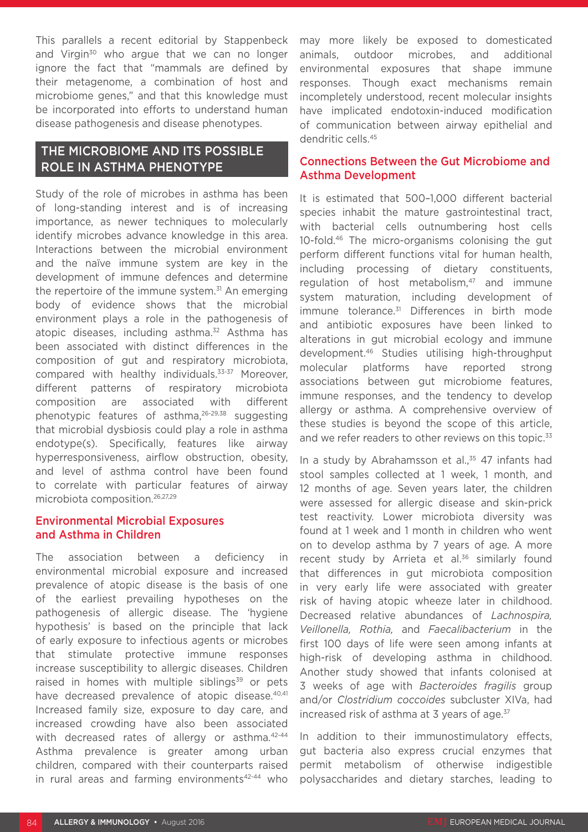This parallels a recent editorial by Stappenbeck and Virgin<sup>30</sup> who argue that we can no longer ignore the fact that "mammals are defined by their metagenome, a combination of host and microbiome genes," and that this knowledge must be incorporated into efforts to understand human disease pathogenesis and disease phenotypes.

### THE MICROBIOME AND ITS POSSIBLE ROLE IN ASTHMA PHENOTYPE

Study of the role of microbes in asthma has been of long-standing interest and is of increasing importance, as newer techniques to molecularly identify microbes advance knowledge in this area. Interactions between the microbial environment and the naïve immune system are key in the development of immune defences and determine the repertoire of the immune system.<sup>31</sup> An emerging body of evidence shows that the microbial environment plays a role in the pathogenesis of atopic diseases, including asthma.<sup>32</sup> Asthma has been associated with distinct differences in the composition of gut and respiratory microbiota, compared with healthy individuals.33-37 Moreover, different patterns of respiratory microbiota composition are associated with different phenotypic features of asthma,26-29,38 suggesting that microbial dysbiosis could play a role in asthma endotype(s). Specifically, features like airway hyperresponsiveness, airflow obstruction, obesity, and level of asthma control have been found to correlate with particular features of airway microbiota composition.26,27,29

#### Environmental Microbial Exposures and Asthma in Children

The association between a deficiency in environmental microbial exposure and increased prevalence of atopic disease is the basis of one of the earliest prevailing hypotheses on the pathogenesis of allergic disease. The 'hygiene hypothesis' is based on the principle that lack of early exposure to infectious agents or microbes that stimulate protective immune responses increase susceptibility to allergic diseases. Children raised in homes with multiple siblings $39$  or pets have decreased prevalence of atopic disease.<sup>40,41</sup> Increased family size, exposure to day care, and increased crowding have also been associated with decreased rates of allergy or asthma.<sup>42-44</sup> Asthma prevalence is greater among urban children, compared with their counterparts raised in rural areas and farming environments42-44 who

may more likely be exposed to domesticated animals, outdoor microbes, and additional environmental exposures that shape immune responses. Though exact mechanisms remain incompletely understood, recent molecular insights have implicated endotoxin-induced modification of communication between airway epithelial and dendritic cells.45

#### Connections Between the Gut Microbiome and Asthma Development

It is estimated that 500–1,000 different bacterial species inhabit the mature gastrointestinal tract, with bacterial cells outnumbering host cells 10-fold.46 The micro-organisms colonising the gut perform different functions vital for human health, including processing of dietary constituents, regulation of host metabolism, $47$  and immune system maturation, including development of immune tolerance.<sup>31</sup> Differences in birth mode and antibiotic exposures have been linked to alterations in gut microbial ecology and immune development.46 Studies utilising high-throughput molecular platforms have reported strong associations between gut microbiome features, immune responses, and the tendency to develop allergy or asthma. A comprehensive overview of these studies is beyond the scope of this article, and we refer readers to other reviews on this topic.<sup>33</sup>

In a study by Abrahamsson et al.,<sup>35</sup> 47 infants had stool samples collected at 1 week, 1 month, and 12 months of age. Seven years later, the children were assessed for allergic disease and skin-prick test reactivity. Lower microbiota diversity was found at 1 week and 1 month in children who went on to develop asthma by 7 years of age. A more recent study by Arrieta et al.<sup>36</sup> similarly found that differences in gut microbiota composition in very early life were associated with greater risk of having atopic wheeze later in childhood. Decreased relative abundances of *Lachnospira, Veillonella, Rothia,* and *Faecalibacterium* in the first 100 days of life were seen among infants at high-risk of developing asthma in childhood. Another study showed that infants colonised at 3 weeks of age with *Bacteroides fragilis* group and/or *Clostridium coccoides* subcluster XIVa, had increased risk of asthma at 3 years of age.<sup>37</sup>

In addition to their immunostimulatory effects, gut bacteria also express crucial enzymes that permit metabolism of otherwise indigestible polysaccharides and dietary starches, leading to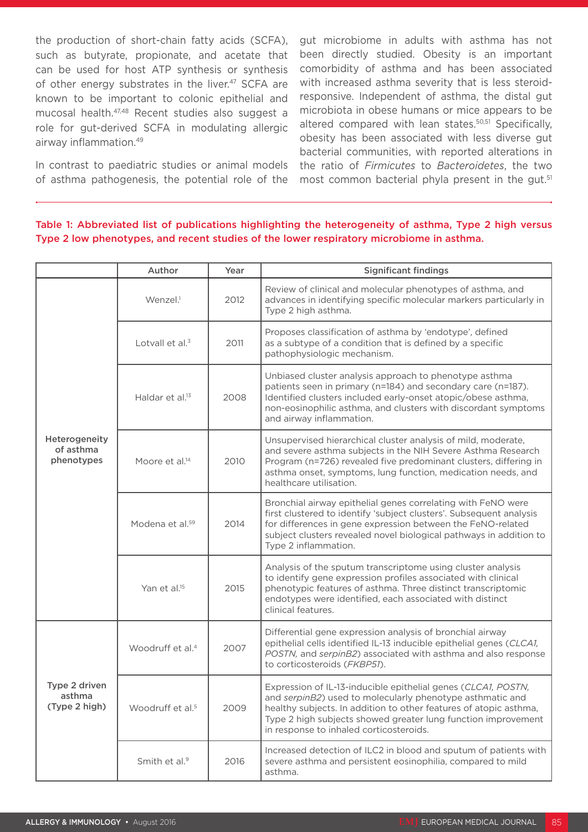the production of short-chain fatty acids (SCFA), such as butyrate, propionate, and acetate that can be used for host ATP synthesis or synthesis of other energy substrates in the liver.<sup>47</sup> SCFA are known to be important to colonic epithelial and mucosal health.47,48 Recent studies also suggest a role for gut-derived SCFA in modulating allergic airway inflammation.49

In contrast to paediatric studies or animal models of asthma pathogenesis, the potential role of the

gut microbiome in adults with asthma has not been directly studied. Obesity is an important comorbidity of asthma and has been associated with increased asthma severity that is less steroidresponsive. Independent of asthma, the distal gut microbiota in obese humans or mice appears to be altered compared with lean states.<sup>50,51</sup> Specifically, obesity has been associated with less diverse gut bacterial communities, with reported alterations in the ratio of *Firmicutes* to *Bacteroidetes*, the two most common bacterial phyla present in the gut.<sup>51</sup>

#### Table 1: Abbreviated list of publications highlighting the heterogeneity of asthma, Type 2 high versus Type 2 low phenotypes, and recent studies of the lower respiratory microbiome in asthma.

|                                          | Author                       | Year | <b>Significant findings</b>                                                                                                                                                                                                                                                                                 |
|------------------------------------------|------------------------------|------|-------------------------------------------------------------------------------------------------------------------------------------------------------------------------------------------------------------------------------------------------------------------------------------------------------------|
| Heterogeneity<br>of asthma<br>phenotypes | Wenzel. <sup>1</sup>         | 2012 | Review of clinical and molecular phenotypes of asthma, and<br>advances in identifying specific molecular markers particularly in<br>Type 2 high asthma.                                                                                                                                                     |
|                                          | Lotvall et al. <sup>3</sup>  | 2011 | Proposes classification of asthma by 'endotype', defined<br>as a subtype of a condition that is defined by a specific<br>pathophysiologic mechanism.                                                                                                                                                        |
|                                          | Haldar et al. <sup>13</sup>  | 2008 | Unbiased cluster analysis approach to phenotype asthma<br>patients seen in primary (n=184) and secondary care (n=187).<br>Identified clusters included early-onset atopic/obese asthma,<br>non-eosinophilic asthma, and clusters with discordant symptoms<br>and airway inflammation.                       |
|                                          | Moore et al. <sup>14</sup>   | 2010 | Unsupervised hierarchical cluster analysis of mild, moderate,<br>and severe asthma subjects in the NIH Severe Asthma Research<br>Program (n=726) revealed five predominant clusters, differing in<br>asthma onset, symptoms, lung function, medication needs, and<br>healthcare utilisation.                |
|                                          | Modena et al. <sup>59</sup>  | 2014 | Bronchial airway epithelial genes correlating with FeNO were<br>first clustered to identify 'subject clusters'. Subsequent analysis<br>for differences in gene expression between the FeNO-related<br>subject clusters revealed novel biological pathways in addition to<br>Type 2 inflammation.            |
|                                          | Yan et al. <sup>15</sup>     | 2015 | Analysis of the sputum transcriptome using cluster analysis<br>to identify gene expression profiles associated with clinical<br>phenotypic features of asthma. Three distinct transcriptomic<br>endotypes were identified, each associated with distinct<br>clinical features.                              |
| Type 2 driven<br>asthma<br>(Type 2 high) | Woodruff et al. <sup>4</sup> | 2007 | Differential gene expression analysis of bronchial airway<br>epithelial cells identified IL-13 inducible epithelial genes (CLCA1,<br>POSTN, and serpinB2) associated with asthma and also response<br>to corticosteroids (FKBP51).                                                                          |
|                                          | Woodruff et al. <sup>5</sup> | 2009 | Expression of IL-13-inducible epithelial genes (CLCA1, POSTN,<br>and serpinB2) used to molecularly phenotype asthmatic and<br>healthy subjects. In addition to other features of atopic asthma,<br>Type 2 high subjects showed greater lung function improvement<br>in response to inhaled corticosteroids. |
|                                          | Smith et al. <sup>9</sup>    | 2016 | Increased detection of ILC2 in blood and sputum of patients with<br>severe asthma and persistent eosinophilia, compared to mild<br>asthma.                                                                                                                                                                  |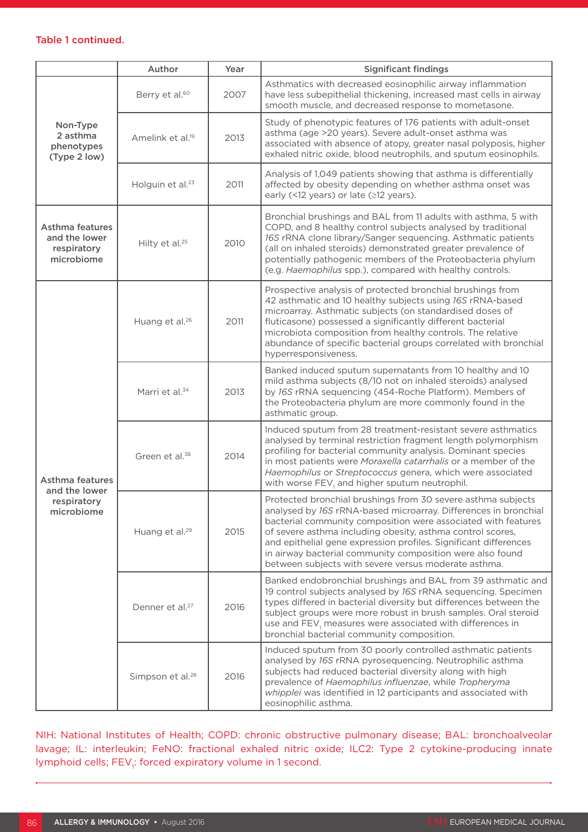#### Table 1 continued.

|                                                               | Author                       | Year | <b>Significant findings</b>                                                                                                                                                                                                                                                                                                                                                                                                                             |
|---------------------------------------------------------------|------------------------------|------|---------------------------------------------------------------------------------------------------------------------------------------------------------------------------------------------------------------------------------------------------------------------------------------------------------------------------------------------------------------------------------------------------------------------------------------------------------|
| Non-Type<br>2 asthma<br>phenotypes<br>(Type 2 low)            | Berry et al. <sup>60</sup>   | 2007 | Asthmatics with decreased eosinophilic airway inflammation<br>have less subepithelial thickening, increased mast cells in airway<br>smooth muscle, and decreased response to mometasone.                                                                                                                                                                                                                                                                |
|                                                               | Amelink et al. <sup>19</sup> | 2013 | Study of phenotypic features of 176 patients with adult-onset<br>asthma (age >20 years). Severe adult-onset asthma was<br>associated with absence of atopy, greater nasal polyposis, higher<br>exhaled nitric oxide, blood neutrophils, and sputum eosinophils.                                                                                                                                                                                         |
|                                                               | Holguin et al. <sup>23</sup> | 2011 | Analysis of 1,049 patients showing that asthma is differentially<br>affected by obesity depending on whether asthma onset was<br>early (<12 years) or late (≥12 years).                                                                                                                                                                                                                                                                                 |
| Asthma features<br>and the lower<br>respiratory<br>microbiome | Hilty et al. <sup>25</sup>   | 2010 | Bronchial brushings and BAL from 11 adults with asthma, 5 with<br>COPD, and 8 healthy control subjects analysed by traditional<br>16S rRNA clone library/Sanger sequencing. Asthmatic patients<br>(all on inhaled steroids) demonstrated greater prevalence of<br>potentially pathogenic members of the Proteobacteria phylum<br>(e.g. Haemophilus spp.), compared with healthy controls.                                                               |
| Asthma features<br>and the lower<br>respiratory<br>microbiome | Huang et al. <sup>26</sup>   | 2011 | Prospective analysis of protected bronchial brushings from<br>42 asthmatic and 10 healthy subjects using 16S rRNA-based<br>microarray. Asthmatic subjects (on standardised doses of<br>fluticasone) possessed a significantly different bacterial<br>microbiota composition from healthy controls. The relative<br>abundance of specific bacterial groups correlated with bronchial<br>hyperresponsiveness.                                             |
|                                                               | Marri et al. <sup>34</sup>   | 2013 | Banked induced sputum supernatants from 10 healthy and 10<br>mild asthma subjects (8/10 not on inhaled steroids) analysed<br>by 16S rRNA sequencing (454-Roche Platform). Members of<br>the Proteobacteria phylum are more commonly found in the<br>asthmatic group.                                                                                                                                                                                    |
|                                                               | Green et al. <sup>38</sup>   | 2014 | Induced sputum from 28 treatment-resistant severe asthmatics<br>analysed by terminal restriction fragment length polymorphism<br>profiling for bacterial community analysis. Dominant species<br>in most patients were Moraxella catarrhalis or a member of the<br>Haemophilus or Streptococcus genera, which were associated<br>with worse FEV, and higher sputum neutrophil.                                                                          |
|                                                               | Huang et al. <sup>29</sup>   | 2015 | Protected bronchial brushings from 30 severe asthma subjects<br>analysed by 16S rRNA-based microarray. Differences in bronchial<br>bacterial community composition were associated with features<br>of severe asthma including obesity, asthma control scores,<br>and epithelial gene expression profiles. Significant differences<br>in airway bacterial community composition were also found<br>between subjects with severe versus moderate asthma. |
|                                                               | Denner et al. <sup>27</sup>  | 2016 | Banked endobronchial brushings and BAL from 39 asthmatic and<br>19 control subjects analysed by 16S rRNA sequencing. Specimen<br>types differed in bacterial diversity but differences between the<br>subject groups were more robust in brush samples. Oral steroid<br>use and FEV, measures were associated with differences in<br>bronchial bacterial community composition.                                                                         |
|                                                               | Simpson et al. <sup>28</sup> | 2016 | Induced sputum from 30 poorly controlled asthmatic patients<br>analysed by 16S rRNA pyrosequencing. Neutrophilic asthma<br>subjects had reduced bacterial diversity along with high<br>prevalence of Haemophilus influenzae, while Tropheryma<br>whipplei was identified in 12 participants and associated with<br>eosinophilic asthma.                                                                                                                 |

NIH: National Institutes of Health; COPD: chronic obstructive pulmonary disease; BAL: bronchoalveolar lavage; IL: interleukin; FeNO: fractional exhaled nitric oxide; ILC2: Type 2 cytokine-producing innate lymphoid cells; FEV<sub>1</sub>: forced expiratory volume in 1 second.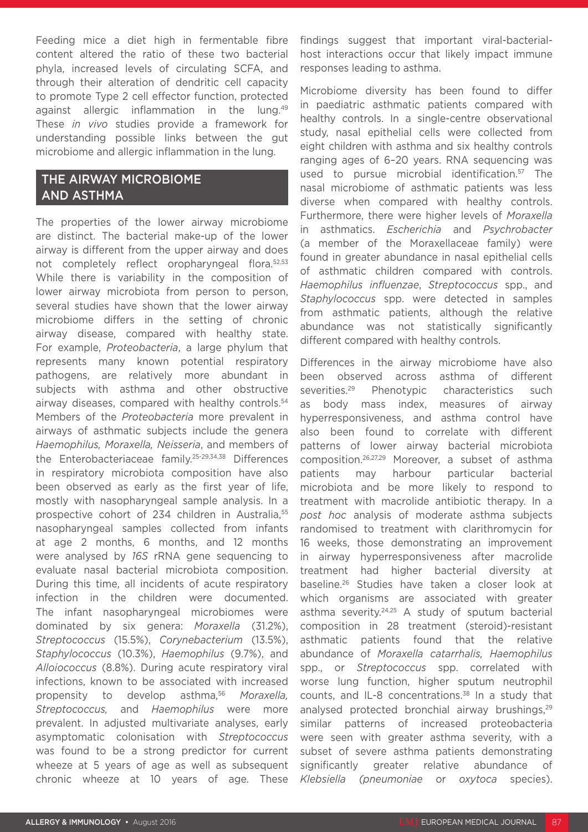Feeding mice a diet high in fermentable fibre content altered the ratio of these two bacterial phyla, increased levels of circulating SCFA, and through their alteration of dendritic cell capacity to promote Type 2 cell effector function, protected against allergic inflammation in the lung.<sup>49</sup> These *in vivo* studies provide a framework for understanding possible links between the gut microbiome and allergic inflammation in the lung.

# THE AIRWAY MICROBIOME AND ASTHMA

The properties of the lower airway microbiome are distinct. The bacterial make-up of the lower airway is different from the upper airway and does not completely reflect oropharyngeal flora.52,53 While there is variability in the composition of lower airway microbiota from person to person, several studies have shown that the lower airway microbiome differs in the setting of chronic airway disease, compared with healthy state. For example, *Proteobacteria*, a large phylum that represents many known potential respiratory pathogens, are relatively more abundant in subjects with asthma and other obstructive airway diseases, compared with healthy controls.<sup>54</sup> Members of the *Proteobacteria* more prevalent in airways of asthmatic subjects include the genera *Haemophilus, Moraxella, Neisseria*, and members of the Enterobacteriaceae family.25-29,34,38 Differences in respiratory microbiota composition have also been observed as early as the first year of life, mostly with nasopharyngeal sample analysis. In a prospective cohort of 234 children in Australia.<sup>55</sup> nasopharyngeal samples collected from infants at age 2 months, 6 months, and 12 months were analysed by *16S* rRNA gene sequencing to evaluate nasal bacterial microbiota composition. During this time, all incidents of acute respiratory infection in the children were documented. The infant nasopharyngeal microbiomes were dominated by six genera: *Moraxella* (31.2%), *Streptococcus* (15.5%), *Corynebacterium* (13.5%), *Staphylococcus* (10.3%), *Haemophilus* (9.7%), and *Alloiococcus* (8.8%). During acute respiratory viral infections, known to be associated with increased propensity to develop asthma,56 *Moraxella, Streptococcus,* and *Haemophilus* were more prevalent. In adjusted multivariate analyses, early asymptomatic colonisation with *Streptococcus* was found to be a strong predictor for current wheeze at 5 years of age as well as subsequent chronic wheeze at 10 years of age. These

findings suggest that important viral-bacterialhost interactions occur that likely impact immune responses leading to asthma.

Microbiome diversity has been found to differ in paediatric asthmatic patients compared with healthy controls. In a single-centre observational study, nasal epithelial cells were collected from eight children with asthma and six healthy controls ranging ages of 6–20 years. RNA sequencing was used to pursue microbial identification.<sup>57</sup> The nasal microbiome of asthmatic patients was less diverse when compared with healthy controls. Furthermore, there were higher levels of *Moraxella* in asthmatics. *Escherichia* and *Psychrobacter* (a member of the Moraxellaceae family) were found in greater abundance in nasal epithelial cells of asthmatic children compared with controls. *Haemophilus influenzae*, *Streptococcus* spp., and *Staphylococcus* spp. were detected in samples from asthmatic patients, although the relative abundance was not statistically significantly different compared with healthy controls.

Differences in the airway microbiome have also been observed across asthma of different severities.<sup>29</sup> Phenotypic characteristics such as body mass index, measures of airway hyperresponsiveness, and asthma control have also been found to correlate with different patterns of lower airway bacterial microbiota composition.26,27,29 Moreover, a subset of asthma patients may harbour particular bacterial microbiota and be more likely to respond to treatment with macrolide antibiotic therapy. In a *post hoc* analysis of moderate asthma subjects randomised to treatment with clarithromycin for 16 weeks, those demonstrating an improvement in airway hyperresponsiveness after macrolide treatment had higher bacterial diversity at baseline.26 Studies have taken a closer look at which organisms are associated with greater asthma severity.24,25 A study of sputum bacterial composition in 28 treatment (steroid)-resistant asthmatic patients found that the relative abundance of *Moraxella catarrhalis, Haemophilus*  spp., or *Streptococcus* spp. correlated with worse lung function, higher sputum neutrophil counts, and IL-8 concentrations.<sup>38</sup> In a study that analysed protected bronchial airway brushings,<sup>29</sup> similar patterns of increased proteobacteria were seen with greater asthma severity, with a subset of severe asthma patients demonstrating significantly greater relative abundance of *Klebsiella (pneumoniae* or *oxytoca* species).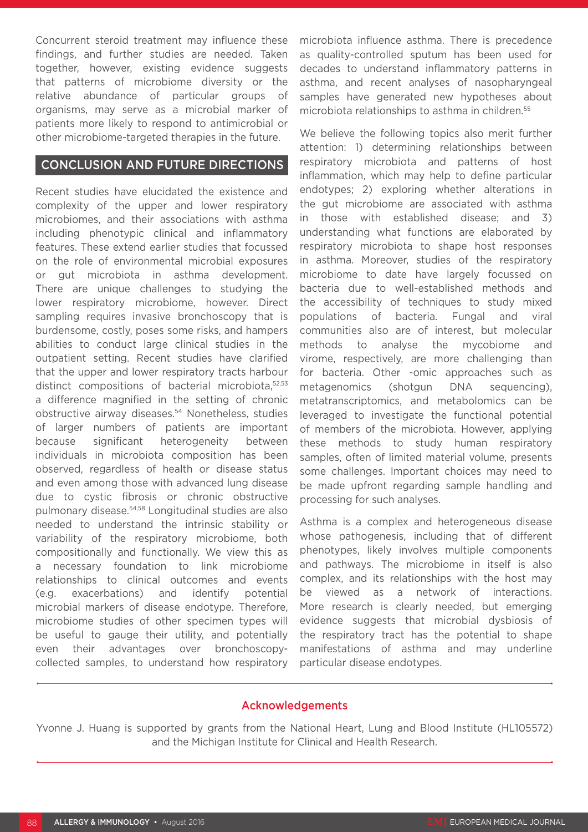Concurrent steroid treatment may influence these findings, and further studies are needed. Taken together, however, existing evidence suggests that patterns of microbiome diversity or the relative abundance of particular groups of organisms, may serve as a microbial marker of patients more likely to respond to antimicrobial or other microbiome-targeted therapies in the future.

### CONCLUSION AND FUTURE DIRECTIONS

Recent studies have elucidated the existence and complexity of the upper and lower respiratory microbiomes, and their associations with asthma including phenotypic clinical and inflammatory features. These extend earlier studies that focussed on the role of environmental microbial exposures or gut microbiota in asthma development. There are unique challenges to studying the lower respiratory microbiome, however. Direct sampling requires invasive bronchoscopy that is burdensome, costly, poses some risks, and hampers abilities to conduct large clinical studies in the outpatient setting. Recent studies have clarified that the upper and lower respiratory tracts harbour distinct compositions of bacterial microbiota, 52,53 a difference magnified in the setting of chronic obstructive airway diseases.54 Nonetheless, studies of larger numbers of patients are important because significant heterogeneity between individuals in microbiota composition has been observed, regardless of health or disease status and even among those with advanced lung disease due to cystic fibrosis or chronic obstructive pulmonary disease.54,58 Longitudinal studies are also needed to understand the intrinsic stability or variability of the respiratory microbiome, both compositionally and functionally. We view this as a necessary foundation to link microbiome relationships to clinical outcomes and events (e.g. exacerbations) and identify potential microbial markers of disease endotype. Therefore, microbiome studies of other specimen types will be useful to gauge their utility, and potentially even their advantages over bronchoscopycollected samples, to understand how respiratory

microbiota influence asthma. There is precedence as quality-controlled sputum has been used for decades to understand inflammatory patterns in asthma, and recent analyses of nasopharyngeal samples have generated new hypotheses about microbiota relationships to asthma in children.<sup>55</sup>

We believe the following topics also merit further attention: 1) determining relationships between respiratory microbiota and patterns of host inflammation, which may help to define particular endotypes; 2) exploring whether alterations in the gut microbiome are associated with asthma in those with established disease; and 3) understanding what functions are elaborated by respiratory microbiota to shape host responses in asthma. Moreover, studies of the respiratory microbiome to date have largely focussed on bacteria due to well-established methods and the accessibility of techniques to study mixed populations of bacteria. Fungal and viral communities also are of interest, but molecular methods to analyse the mycobiome and virome, respectively, are more challenging than for bacteria. Other -omic approaches such as metagenomics (shotgun DNA sequencing), metatranscriptomics, and metabolomics can be leveraged to investigate the functional potential of members of the microbiota. However, applying these methods to study human respiratory samples, often of limited material volume, presents some challenges. Important choices may need to be made upfront regarding sample handling and processing for such analyses.

Asthma is a complex and heterogeneous disease whose pathogenesis, including that of different phenotypes, likely involves multiple components and pathways. The microbiome in itself is also complex, and its relationships with the host may be viewed as a network of interactions. More research is clearly needed, but emerging evidence suggests that microbial dysbiosis of the respiratory tract has the potential to shape manifestations of asthma and may underline particular disease endotypes.

### Acknowledgements

Yvonne J. Huang is supported by grants from the National Heart, Lung and Blood Institute (HL105572) and the Michigan Institute for Clinical and Health Research.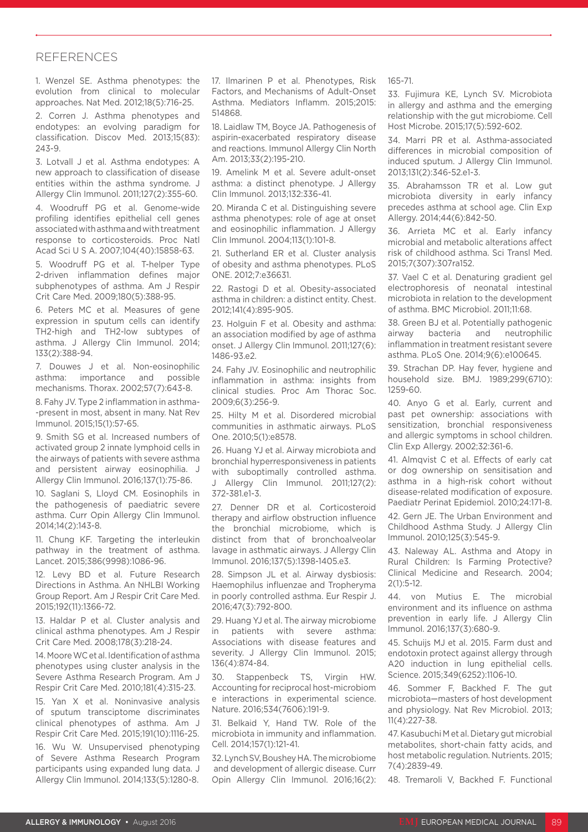#### REFERENCES

1. Wenzel SE. Asthma phenotypes: the evolution from clinical to molecular approaches. Nat Med. 2012;18(5):716-25.

2. Corren J. Asthma phenotypes and endotypes: an evolving paradigm for classification. Discov Med. 2013;15(83): 243-9.

3. Lotvall J et al. Asthma endotypes: A new approach to classification of disease entities within the asthma syndrome. J Allergy Clin Immunol. 2011;127(2):355-60.

4. Woodruff PG et al. Genome-wide profiling identifies epithelial cell genes associated with asthma and with treatment response to corticosteroids. Proc Natl Acad Sci U S A. 2007;104(40):15858-63.

5. Woodruff PG et al. T-helper Type 2-driven inflammation defines major subphenotypes of asthma. Am J Respir Crit Care Med. 2009;180(5):388-95.

6. Peters MC et al. Measures of gene expression in sputum cells can identify TH2-high and TH2-low subtypes of asthma. J Allergy Clin Immunol. 2014; 133(2):388-94.

7. Douwes J et al. Non-eosinophilic asthma: importance and possible mechanisms. Thorax. 2002;57(7):643-8.

8. Fahy JV. Type 2 inflammation in asthma- -present in most, absent in many. Nat Rev Immunol. 2015;15(1):57-65.

9. Smith SG et al. Increased numbers of activated group 2 innate lymphoid cells in the airways of patients with severe asthma and persistent airway eosinophilia. J Allergy Clin Immunol. 2016;137(1):75-86.

10. Saglani S, Lloyd CM. Eosinophils in the pathogenesis of paediatric severe asthma. Curr Opin Allergy Clin Immunol. 2014;14(2):143-8.

11. Chung KF. Targeting the interleukin pathway in the treatment of asthma. Lancet. 2015;386(9998):1086-96.

12. Levy BD et al. Future Research Directions in Asthma. An NHLBI Working Group Report. Am J Respir Crit Care Med. 2015;192(11):1366-72.

13. Haldar P et al. Cluster analysis and clinical asthma phenotypes. Am J Respir Crit Care Med. 2008;178(3):218-24.

14. Moore WC et al. Identification of asthma phenotypes using cluster analysis in the Severe Asthma Research Program. Am J Respir Crit Care Med. 2010;181(4):315-23.

15. Yan X et al. Noninvasive analysis of sputum transciptome discriminates clinical phenotypes of asthma. Am J Respir Crit Care Med. 2015;191(10):1116-25.

16. Wu W. Unsupervised phenotyping of Severe Asthma Research Program participants using expanded lung data. J Allergy Clin Immunol. 2014;133(5):1280-8.

17. Ilmarinen P et al. Phenotypes, Risk Factors, and Mechanisms of Adult-Onset Asthma. Mediators Inflamm. 2015;2015: 514868.

18. Laidlaw TM, Boyce JA. Pathogenesis of aspirin-exacerbated respiratory disease and reactions. Immunol Allergy Clin North Am. 2013;33(2):195-210.

19. Amelink M et al. Severe adult-onset asthma: a distinct phenotype. J Allergy Clin Immunol. 2013;132:336-41.

20. Miranda C et al. Distinguishing severe asthma phenotypes: role of age at onset and eosinophilic inflammation. J Allergy Clin Immunol. 2004;113(1):101-8.

21. Sutherland ER et al. Cluster analysis of obesity and asthma phenotypes. PLoS ONE. 2012;7:e36631.

22. Rastogi D et al. Obesity-associated asthma in children: a distinct entity. Chest. 2012;141(4):895-905.

23. Holguin F et al. Obesity and asthma: an association modified by age of asthma onset. J Allergy Clin Immunol. 2011;127(6): 1486-93.e2.

24. Fahy JV. Eosinophilic and neutrophilic inflammation in asthma: insights from clinical studies. Proc Am Thorac Soc. 2009;6(3):256-9.

25. Hilty M et al. Disordered microbial communities in asthmatic airways. PLoS One. 2010;5(1):e8578.

26. Huang YJ et al. Airway microbiota and bronchial hyperresponsiveness in patients with suboptimally controlled asthma. J Allergy Clin Immunol. 2011;127(2): 372-381.e1-3.

27. Denner DR et al. Corticosteroid therapy and airflow obstruction influence the bronchial microbiome, which is distinct from that of bronchoalveolar lavage in asthmatic airways. J Allergy Clin Immunol. 2016;137(5):1398-1405.e3.

28. Simpson JL et al. Airway dysbiosis: Haemophilus influenzae and Tropheryma in poorly controlled asthma. Eur Respir J. 2016;47(3):792-800.

29. Huang YJ et al. The airway microbiome in patients with severe asthma: Associations with disease features and severity. J Allergy Clin Immunol. 2015; 136(4):874-84.

30. Stappenbeck TS, Virgin HW. Accounting for reciprocal host-microbiom e interactions in experimental science. Nature. 2016;534(7606):191-9.

31. Belkaid Y, Hand TW. Role of the microbiota in immunity and inflammation. Cell. 2014;157(1):121-41.

32. Lynch SV, Boushey HA. The microbiome and development of allergic disease. Curr Opin Allergy Clin Immunol. 2016;16(2): 165-71.

33. Fujimura KE, Lynch SV. Microbiota in allergy and asthma and the emerging relationship with the gut microbiome. Cell Host Microbe. 2015;17(5):592-602.

34. Marri PR et al. Asthma-associated differences in microbial composition of induced sputum. J Allergy Clin Immunol. 2013;131(2):346-52.e1-3.

35. Abrahamsson TR et al. Low gut microbiota diversity in early infancy precedes asthma at school age. Clin Exp Allergy. 2014;44(6):842-50.

36. Arrieta MC et al. Early infancy microbial and metabolic alterations affect risk of childhood asthma. Sci Transl Med. 2015;7(307):307ra152.

37. Vael C et al. Denaturing gradient gel electrophoresis of neonatal intestinal microbiota in relation to the development of asthma. BMC Microbiol. 2011;11:68.

38. Green BJ et al. Potentially pathogenic airway bacteria and neutrophilic inflammation in treatment resistant severe asthma. PLoS One. 2014;9(6):e100645.

39. Strachan DP. Hay fever, hygiene and household size. BMJ. 1989;299(6710): 1259-60.

40. Anyo G et al. Early, current and past pet ownership: associations with sensitization, bronchial responsiveness and allergic symptoms in school children. Clin Exp Allergy. 2002;32:361-6.

41. Almqvist C et al. Effects of early cat or dog ownership on sensitisation and asthma in a high-risk cohort without disease-related modification of exposure. Paediatr Perinat Epidemiol. 2010;24:171-8.

42. Gern JE. The Urban Environment and Childhood Asthma Study. J Allergy Clin Immunol. 2010;125(3):545-9.

43. Naleway AL. Asthma and Atopy in Rural Children: Is Farming Protective? Clinical Medicine and Research. 2004; 2(1):5-12.

44. von Mutius E. The microbial environment and its influence on asthma prevention in early life. J Allergy Clin Immunol. 2016;137(3):680-9.

45. Schuijs MJ et al. 2015. Farm dust and endotoxin protect against allergy through A20 induction in lung epithelial cells. Science. 2015;349(6252):1106-10.

46. Sommer F, Backhed F. The gut microbiota—masters of host development and physiology. Nat Rev Microbiol. 2013; 11(4):227-38.

47. Kasubuchi M et al. Dietary gut microbial metabolites, short-chain fatty acids, and host metabolic regulation. Nutrients. 2015; 7(4):2839-49.

48. Tremaroli V, Backhed F. Functional